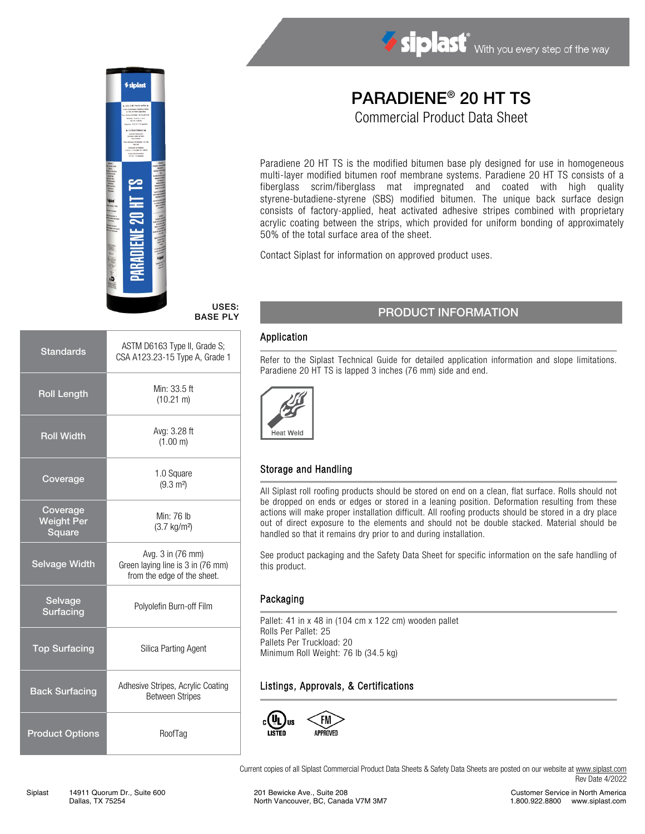

#### USES: BASE PLY

| <b>Standards</b>                        | ASTM D6163 Type II, Grade S;<br>CSA A123.23-15 Type A, Grade 1                        |  |
|-----------------------------------------|---------------------------------------------------------------------------------------|--|
| <b>Roll Length</b>                      | Min: 33.5 ft<br>$(10.21 \text{ m})$                                                   |  |
| <b>Roll Width</b>                       | Avg: 3.28 ft<br>(1.00 m)                                                              |  |
| Coverage                                | 1.0 Square<br>$(9.3 \text{ m}^2)$                                                     |  |
| Coverage<br><b>Weight Per</b><br>Square | Min: 76 lb<br>$(3.7 \text{ kg/m}^2)$                                                  |  |
| <b>Selvage Width</b>                    | Avg. 3 in (76 mm)<br>Green laying line is 3 in (76 mm)<br>from the edge of the sheet. |  |
| Selvage<br><b>Surfacing</b>             | Polyolefin Burn-off Film                                                              |  |
| <b>Top Surfacing</b>                    | Silica Parting Agent                                                                  |  |
| <b>Back Surfacing</b>                   | Adhesive Stripes, Acrylic Coating<br><b>Between Stripes</b>                           |  |
| <b>Product Options</b>                  | RoofTag                                                                               |  |

# PARADIENE® 20 HT TS

Siplast With you every step of the way

Commercial Product Data Sheet

Paradiene 20 HT TS is the modified bitumen base ply designed for use in homogeneous multi-layer modified bitumen roof membrane systems. Paradiene 20 HT TS consists of a fiberglass scrim/fiberglass mat impregnated and coated with high quality styrene-butadiene-styrene (SBS) modified bitumen. The unique back surface design consists of factory-applied, heat activated adhesive stripes combined with proprietary acrylic coating between the strips, which provided for uniform bonding of approximately 50% of the total surface area of the sheet.

Contact Siplast for information on approved product uses.

## PRODUCT INFORMATION

#### Application

Refer to the Siplast Technical Guide for detailed application information and slope limitations. Paradiene 20 HT TS is lapped 3 inches (76 mm) side and end.



### Storage and Handling

All Siplast roll roofing products should be stored on end on a clean, flat surface. Rolls should not be dropped on ends or edges or stored in a leaning position. Deformation resulting from these actions will make proper installation difficult. All roofing products should be stored in a dry place out of direct exposure to the elements and should not be double stacked. Material should be handled so that it remains dry prior to and during installation.

See product packaging and the Safety Data Sheet for specific information on the safe handling of this product.

#### Packaging

Pallet: 41 in x 48 in (104 cm x 122 cm) wooden pallet Rolls Per Pallet: 25 Pallets Per Truckload: 20 Minimum Roll Weight: 76 lb (34.5 kg)

### Listings, Approvals, & Certifications



Current copies of all Siplast Commercial Product Data Sheets & Safety Data Sheets are posted on our website at [www.siplast.com](http://www.siplast.com/) Rev Date 4/2022